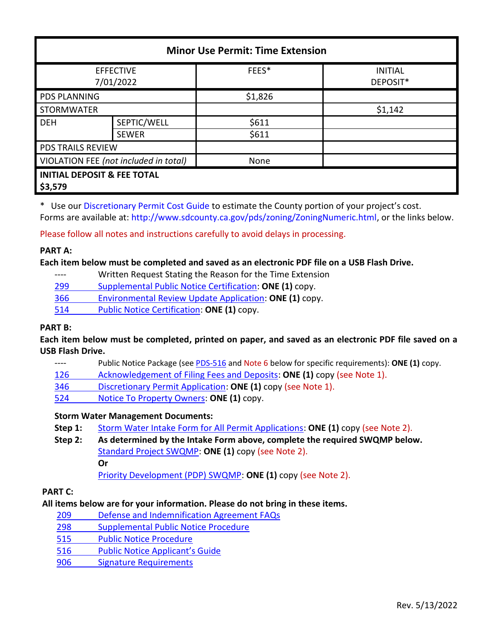| <b>Minor Use Permit: Time Extension</b>           |              |         |                            |  |
|---------------------------------------------------|--------------|---------|----------------------------|--|
| <b>EFFECTIVE</b><br>7/01/2022                     |              | FEES*   | <b>INITIAL</b><br>DEPOSIT* |  |
| <b>PDS PLANNING</b>                               |              | \$1,826 |                            |  |
| <b>STORMWATER</b>                                 |              |         | \$1,142                    |  |
| <b>DEH</b>                                        | SEPTIC/WELL  | \$611   |                            |  |
|                                                   | <b>SEWER</b> | \$611   |                            |  |
| PDS TRAILS REVIEW                                 |              |         |                            |  |
| VIOLATION FEE (not included in total)             |              | None    |                            |  |
| <b>INITIAL DEPOSIT &amp; FEE TOTAL</b><br>\$3,579 |              |         |                            |  |

\* Use ou[r Discretionary Permit Cost Guide](http://www.sandiegocounty.gov/content/dam/sdc/pds/docs/Discretionary_Permit_Cost_Guide.xlsx) to estimate the County portion of your project's cost. Forms are available at[: http://www.sdcounty.ca.gov/pds/zoning/ZoningNumeric.html,](http://www.sdcounty.ca.gov/pds/zoning/ZoningNumeric.html) or the links below.

Please follow all notes and instructions carefully to avoid delays in processing.

### **PART A:**

#### **Each item below must be completed and saved as an electronic PDF file on a USB Flash Drive.**

- ---- Written Request Stating the Reason for the Time Extension
- 299 [Supplemental Public Notice Certification:](http://www.sdcounty.ca.gov/pds/zoning/formfields/PDS-PLN-299.pdf) **ONE (1)** copy.
- 366 [Environmental Review Update Application:](http://www.sdcounty.ca.gov/pds/zoning/formfields/PDS-PLN-366.pdf) **ONE (1)** copy.
- [514 Public Notice Certification:](http://www.sdcounty.ca.gov/pds/zoning/formfields/PDS-PLN-514.pdf) **ONE (1)** copy.

### **PART B:**

**Each item below must be completed, printed on paper, and saved as an electronic PDF file saved on a USB Flash Drive.**

- ---- Public Notice Package (se[e PDS-516](https://www.sandiegocounty.gov/pds/zoning/formfields/PDS-PLN-516.pdf) and Note 6 below for specific requirements): **ONE (1)** copy.
- [126 Acknowledgement of Filing Fees and Deposits:](http://www.sdcounty.ca.gov/pds/zoning/formfields/PDS-PLN-126.pdf) **ONE (1)** copy (see Note 1).
- 346 [Discretionary Permit Application:](http://www.sdcounty.ca.gov/pds/zoning/formfields/PDS-PLN-346.pdf) **ONE (1)** copy (see Note 1).
- 524 [Notice To Property Owners:](http://www.sdcounty.ca.gov/pds/zoning/formfields/PDS-PLN-524.pdf) **ONE (1)** copy.

#### **Storm Water Management Documents:**

- **Step 1:** [Storm Water Intake Form for All Permit Applications:](http://www.sandiegocounty.gov/content/dam/sdc/pds/zoning/formfields/SWQMP-Intake-Form.pdf) **ONE (1)** copy (see Note 2).
- **Step 2: As determined by the Intake Form above, complete the required SWQMP below.** [Standard Project SWQMP:](http://www.sandiegocounty.gov/content/dam/sdc/pds/zoning/formfields/SWQMP-Standard.pdf) **ONE (1)** copy (see Note 2). **Or**

[Priority Development \(PDP\) SWQMP:](https://www.sandiegocounty.gov/content/sdc/dpw/watersheds/DevelopmentandConstruction/BMP_Design_Manual.html) **ONE (1)** copy (see Note 2).

### **PART C:**

### **All items below are for your information. Please do not bring in these items.**

- 209 [Defense and Indemnification Agreement FAQs](http://www.sdcounty.ca.gov/pds/zoning/formfields/PDS-PLN-209.pdf)
- 298 [Supplemental Public Notice Procedure](http://www.sdcounty.ca.gov/pds/zoning/formfields/PDS-PLN-298.pdf)
- [515 Public Notice Procedure](http://www.sdcounty.ca.gov/pds/zoning/formfields/PDS-PLN-515.pdf)
- 516 [Public Notice Applicant's Guide](http://www.sdcounty.ca.gov/pds/zoning/formfields/PDS-PLN-516.pdf)
- [906 Signature Requirements](http://www.sdcounty.ca.gov/pds/zoning/formfields/PDS-PLN-906.pdf)